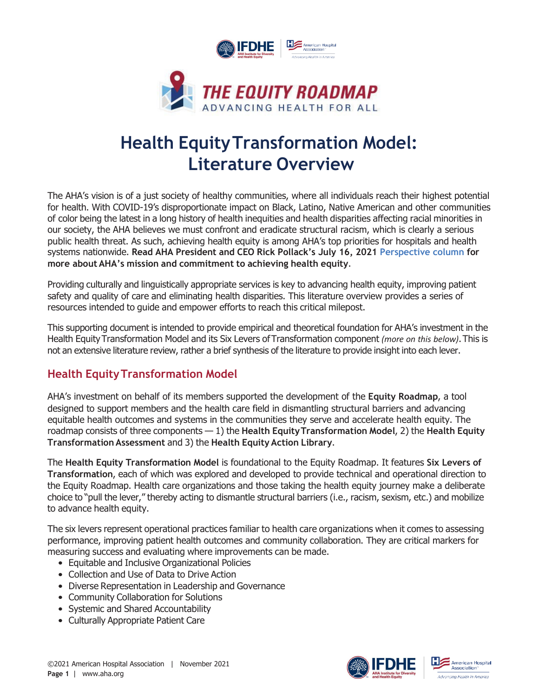

# **Health EquityTransformation Model: Literature Overview**

The AHA's vision is of a just society of healthy communities, where all individuals reach their highest potential for health. With COVID-19's disproportionate impact on Black, Latino, Native American and other communities of color being the latest in a long history of health inequities and health disparities affecting racial minorities in our society, the AHA believes we must confront and eradicate structural racism, which is clearly a serious public health threat. As such, achieving health equity is among AHA's top priorities for hospitals and health systems nationwide. **Read AHA President and CEO Rick Pollack's July 16, 2021 [Perspective column f](https://www.aha.org/news/perspective/2021-07-16-perspective-time-now-diversity-and-health-equity)or more about AHA's mission and commitment to achieving health equity**.

Providing culturally and linguistically appropriate services is key to advancing health equity, improving patient safety and quality of care and eliminating health disparities. This literature overview provides a series of resources intended to guide and empower efforts to reach this critical milepost.

This supporting document is intended to provide empirical and theoretical foundation for AHA's investment in the Health EquityTransformation Model and its Six Levers ofTransformation component *(more on this below)*.This is not an extensive literature review, rather a brief synthesis of the literature to provide insight into each lever.

# **Health EquityTransformation Model**

AHA's investment on behalf of its members supported the development of the **Equity Roadmap**, a tool designed to support members and the health care field in dismantling structural barriers and advancing equitable health outcomes and systems in the communities they serve and accelerate health equity. The roadmap consists of three components — 1) the **Health EquityTransformation Model**, 2) the **Health Equity Transformation Assessment** and 3) the **Health Equity Action Library**.

The **Health Equity Transformation Model** is foundational to the Equity Roadmap. It features **Six Levers of Transformation**, each of which was explored and developed to provide technical and operational direction to the Equity Roadmap. Health care organizations and those taking the health equity journey make a deliberate choice to "pull the lever," thereby acting to dismantle structural barriers (i.e., racism, sexism, etc.) and mobilize to advance health equity.

The six levers represent operational practices familiar to health care organizations when it comes to assessing performance, improving patient health outcomes and community collaboration. They are critical markers for measuring success and evaluating where improvements can be made.

- Equitable and Inclusive Organizational Policies
- Collection and Use of Data to Drive Action
- Diverse Representation in Leadership and Governance
- Community Collaboration for Solutions
- Systemic and Shared Accountability
- Culturally Appropriate Patient Care



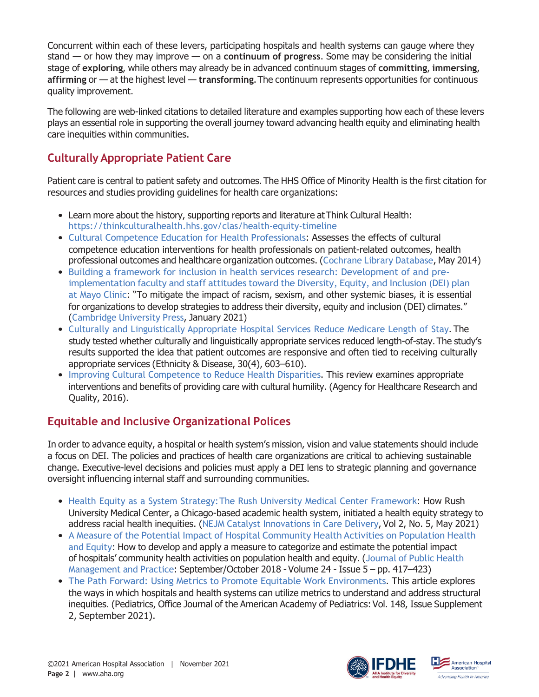Concurrent within each of these levers, participating hospitals and health systems can gauge where they stand — or how they may improve — on a **continuum of progress**. Some may be considering the initial stage of **exploring**, while others may already be in advanced continuum stages of **committing**, **immersing**, **affirming** or — at the highest level — **transforming**.The continuum represents opportunities for continuous quality improvement.

The following are web-linked citations to detailed literature and examples supporting how each of these levers plays an essential role in supporting the overall journey toward advancing health equity and eliminating health care inequities within communities.

# **Culturally Appropriate Patient Care**

Patient care is central to patient safety and outcomes.The HHS Office of Minority Health is the first citation for resources and studies providing guidelines for health care organizations:

- Learn more about the history, supporting reports and literature at Think Cultural Health: <https://thinkculturalhealth.hhs.gov/clas/health-equity-timeline>
- [Cultural Competence Education for Health Professionals](https://www.cochranelibrary.com/cdsr/doi/10.1002/14651858.CD009405.pub2/full): Assesses the effects of cultural competence education interventions for health professionals on patient-related outcomes, health professional outcomes and healthcare organization outcomes. ([Cochrane](https://www.cochranelibrary.com/) Library Database, May 2014)
- [Building a framework for inclusion in health services research: Development of and pre](https://www.cambridge.org/core/journals/journal-of-clinical-and-translational-science/article/building-a-framework-for-inclusion-in-health-services-research-development-of-and-preimplementation-faculty-and-staff-attitudes-toward-the-diversity-equity-and-inclusion-dei-plan-at-mayo-clinic/5BFC6CB851A2D0219CA7F027EFA4FA12)[implementation](https://www.cambridge.org/core/journals/journal-of-clinical-and-translational-science/article/building-a-framework-for-inclusion-in-health-services-research-development-of-and-preimplementation-faculty-and-staff-attitudes-toward-the-diversity-equity-and-inclusion-dei-plan-at-mayo-clinic/5BFC6CB851A2D0219CA7F027EFA4FA12) faculty and staff attitudes toward the Diversity, Equity, and Inclusion (DEI) plan [at Mayo Clinic](https://www.cambridge.org/core/journals/journal-of-clinical-and-translational-science/article/building-a-framework-for-inclusion-in-health-services-research-development-of-and-preimplementation-faculty-and-staff-attitudes-toward-the-diversity-equity-and-inclusion-dei-plan-at-mayo-clinic/5BFC6CB851A2D0219CA7F027EFA4FA12): "To mitigate the impact of racism, sexism, and other systemic biases, it is essential for organizations to develop strategies to address their diversity, equity and inclusion (DEI) climates." ([Cambridge](https://www.cambridge.org/) University Press, January 2021)
- Culturally and [Linguistically](https://pubmed.ncbi.nlm.nih.gov/32989360/) Appropriate Hospital Services Reduce Medicare Length of Stay. The study tested whether culturally and linguistically appropriate services reduced length-of-stay.The study's results supported the idea that patient outcomes are responsive and often tied to receiving culturally appropriate services (Ethnicity & Disease, 30(4), 603–610).
- [Improving Cultural Competence to Reduce Health Disparities](https://effectivehealthcare.ahrq.gov/products/cultural-competence/research-protocol). This review examines appropriate interventions and benefits of providing care with cultural humility. (Agency for Healthcare Research and Quality, 2016).

#### **Equitable and Inclusive Organizational Polices**

In order to advance equity, a hospital or health system's mission, vision and value statements should include a focus on DEI. The policies and practices of health care organizations are critical to achieving sustainable change. Executive-level decisions and policies must apply a DEI lens to strategic planning and governance oversight influencing internal staff and surrounding communities.

- Health Equity as a System Strategy: The Rush University Medical Center Framework: How Rush University Medical Center, a Chicago-based academic health system, initiated a health equity strategy to address racial health inequities. (NEJM Catalyst [Innovations](https://catalyst.nejm.org/toc/catalyst/2/5) in Care Delivery, Vol 2, No. 5, May 2021)
- A Measure of the Potential Impact of Hospital [Community](https://journals.lww.com/jphmp/Abstract/2018/09000/A_Measure_of_the_Potential_Impact_of_Hospital.4.aspx) Health Activities on Population Health and [Equity](https://journals.lww.com/jphmp/Abstract/2018/09000/A_Measure_of_the_Potential_Impact_of_Hospital.4.aspx): How to develop and apply a measure to categorize and estimate the potential impact of hospitals' community health activities on population health and equity. ([Journal](https://journals.lww.com/jphmp/pages/default.aspx) of Public Health [Management](https://journals.lww.com/jphmp/pages/default.aspx) and Practice: September/October 2018 - Volume 24 - Issue 5 – pp. 417–423)
- [The Path Forward: Using Metrics to Promote Equitable Work Environments](https://pubmed.ncbi.nlm.nih.gov/34470882/). This article explores the ways in which hospitals and health systems can utilize metrics to understand and address structural inequities. (Pediatrics, Office Journal of the American Academy of Pediatrics: Vol. 148, Issue Supplement 2, September 2021).



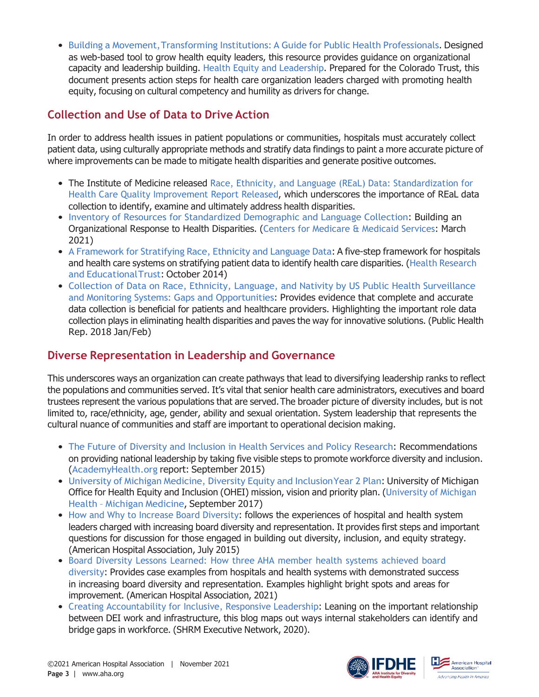• Building a [Movement,Transforming](https://www.policylink.org/our-work/community/health-equity/institutionalizing-health-equity) Institutions: A Guide for Public Health Professionals. Designed as web-based tool to grow health equity leaders, this resource provides guidance on organizational capacity and leadership building. [Health Equity and Leadership](https://www.coloradotrust.org/sites/default/files/CT_LeadershipBrief_FINALv.pdf). Prepared for the Colorado Trust, this document presents action steps for health care organization leaders charged with promoting health equity, focusing on cultural competency and humility as drivers for change.

## **Collection and Use of Data to Drive Action**

In order to address health issues in patient populations or communities, hospitals must accurately collect patient data, using culturally appropriate methods and stratify data findings to paint a more accurate picture of where improvements can be made to mitigate health disparities and generate positive outcomes.

- The Institute of Medicine released [Race, Ethnicity, and Language \(REaL\) Data: Standardization for](https://thinkculturalhealth.hhs.gov/disclaimer?u=1EAYlFqXVH9skJ72h2nPcuMP36cBr01mQq3lpu9skJ72h2Q10jn6sChqLtpl3kdloFEwjgsuc8abwXlS1W4drx0O1BDHCXL9kduZUfVTa9Bz7qV7YubidUirUwj4kUv9skJ72h2dDtrI5I2f3kwtFwcAHDi9skJ72h2kNs5XTYSGP4oVkGIltZJfm6MXAY5ZAWbbLRSzusjVm37QxHSd4BNXtpl3kdloCQcZRh9skJ72h2W3lp0sM2zqS7FtdGp1f7qJrPgepp3ledSepp3ledS) [Health Care Quality Improvement Report Released](https://thinkculturalhealth.hhs.gov/disclaimer?u=1EAYlFqXVH9skJ72h2nPcuMP36cBr01mQq3lpu9skJ72h2Q10jn6sChqLtpl3kdloFEwjgsuc8abwXlS1W4drx0O1BDHCXL9kduZUfVTa9Bz7qV7YubidUirUwj4kUv9skJ72h2dDtrI5I2f3kwtFwcAHDi9skJ72h2kNs5XTYSGP4oVkGIltZJfm6MXAY5ZAWbbLRSzusjVm37QxHSd4BNXtpl3kdloCQcZRh9skJ72h2W3lp0sM2zqS7FtdGp1f7qJrPgepp3ledSepp3ledS), which underscores the importance of REaL data collection to identify, examine and ultimately address health disparities.
- [Inventory of Resources for Standardized Demographic and Language Collection](https://www.cms.gov/About-CMS/Agency-Information/OMH/Downloads/Data-Collection-Resources.pdf): Building an Organizational Response to Health Disparities. ([Centers for Medicare & Medicaid Services](https://www.cms.gov/): March 2021)
- A [Framework](https://www.aha.org/system/files/2018-01/framework-race-ethnicity-language-data-2014.pdf) for Stratifying Race, Ethnicity and Language Data: A five-step framework for hospitals and health care systems on stratifying patient data to identify health care disparities. (Health [Research](https://www.aha.org/center/hret) and [EducationalTrust](https://www.aha.org/center/hret): October 2014)
- [Collection of Data on Race, Ethnicity, Language, and Nativity by US Public Health Surveillance](https://pubmed.ncbi.nlm.nih.gov/29262290/) [and Monitoring Systems: Gaps and Opportunities](https://pubmed.ncbi.nlm.nih.gov/29262290/): Provides evidence that complete and accurate data collection is beneficial for patients and healthcare providers. Highlighting the important role data collection plays in eliminating health disparities and paves the way for innovative solutions. (Public Health Rep. 2018 Jan/Feb)

#### **Diverse Representation in Leadership and Governance**

This underscores ways an organization can create pathways that lead to diversifying leadership ranks to reflect the populations and communities served. It's vital that senior health care administrators, executives and board trustees represent the various populations that are served.The broader picture of diversity includes, but is not limited to, race/ethnicity, age, gender, ability and sexual orientation. System leadership that represents the cultural nuance of communities and staff are important to operational decision making.

- [The Future of Diversity and Inclusion in Health Services and Policy Research](https://academyhealth.org/sites/default/files/AH_230DiversityReport%202015_09.15.pdf): Recommendations on providing national leadership by taking five visible steps to promote workforce diversity and inclusion. ([AcademyHealth.org](https://academyhealth.org/) report: September 2015)
- University of Michigan Medicine, Diversity Equity and Inclusion Year 2 Plan: University of Michigan Office for Health Equity and Inclusion (OHEI) mission, vision and priority plan. ([University](https://www.uofmhealth.org/) of Michigan Health – Michigan [Medicine](https://www.uofmhealth.org/), September 2017)
- [How and Why to Increase Board Diversity](https://trustees.aha.org/articles/916-how-and-why-to-increase-board-diversity): follows the experiences of hospital and health system leaders charged with increasing board diversity and representation. It provides first steps and important questions for discussion for those engaged in building out diversity, inclusion, and equity strategy. (American Hospital Association, July 2015)
- Board Diversity Lessons Learned: How three AHA member health systems [achieved](https://trustees.aha.org/lessons-field-how-three-aha-member-health-systems-achieved-board-diversity) board [diversity](https://trustees.aha.org/lessons-field-how-three-aha-member-health-systems-achieved-board-diversity): Provides case examples from hospitals and health systems with demonstrated success in increasing board diversity and representation. Examples highlight bright spots and areas for improvement. (American Hospital Association, 2021)
- [Creating Accountability for Inclusive, Responsive Leadership](https://www.shrm.org/executive/resources/people-strategy-journal/winter2020/Pages/corley-feature.aspx): Leaning on the important relationship between DEI work and infrastructure, this blog maps out ways internal stakeholders can identify and bridge gaps in workforce. (SHRM Executive Network, 2020).